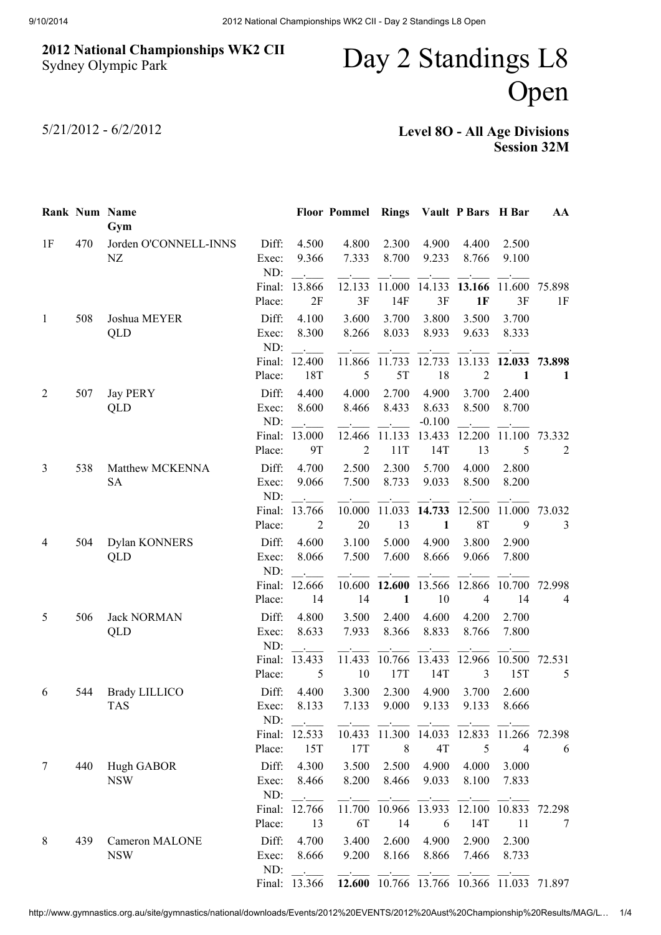## 2012 National Championships WK2 CII Sydney Olympic Park

## Day 2 Standings L8 Open

5/21/2012 - 6/2/2012

Level 8O - All Age Divisions Session 32M

|                |     | Rank Num Name<br>Gym            |                       |                                              | <b>Floor Pommel Rings</b> |                             |                            | Vault P Bars H Bar       |                | AA           |
|----------------|-----|---------------------------------|-----------------------|----------------------------------------------|---------------------------|-----------------------------|----------------------------|--------------------------|----------------|--------------|
| 1F             | 470 | Jorden O'CONNELL-INNS<br>NZ     | Diff:<br>Exec:<br>ND: | 4.500<br>9.366<br>$\mathcal{L}_{\text{max}}$ | 4.800<br>7.333            | 2.300<br>8.700              | 4.900<br>9.233             | 4.400<br>8.766           | 2.500<br>9.100 |              |
|                |     |                                 | Final:<br>Place:      | 13.866<br>2F                                 | 12.133<br>3F              | 11.000<br>14F               | 14.133<br>3F               | 13.166<br>1F             | 11.600<br>3F   | 75.898<br>1F |
| $\mathbf{1}$   | 508 | Joshua MEYER<br>QLD             | Diff:<br>Exec:<br>ND: | 4.100<br>8.300<br>$\sim$                     | 3.600<br>8.266            | 3.700<br>8.033              | 3.800<br>8.933             | 3.500<br>9.633           | 3.700<br>8.333 |              |
|                |     |                                 | Final:<br>Place:      | 12.400<br>18T                                | 11.866<br>5               | 11.733<br>5T                | 12.733<br>18               | 13.133<br>$\overline{2}$ | 12.033<br>1    | 73.898<br>1  |
| $\overline{2}$ | 507 | <b>Jay PERY</b><br>QLD          | Diff:<br>Exec:<br>ND: | 4.400<br>8.600                               | 4.000<br>8.466            | 2.700<br>8.433              | 4.900<br>8.633<br>$-0.100$ | 3.700<br>8.500           | 2.400<br>8.700 |              |
|                |     |                                 | Final:<br>Place:      | 13.000<br>9T                                 | 12.466<br>$\overline{2}$  | 11.133<br>11T               | 13.433<br>14T              | 12.200<br>13             | 11.100<br>5    | 73.332<br>2  |
| 3              | 538 | Matthew MCKENNA<br><b>SA</b>    | Diff:<br>Exec:<br>ND: | 4.700<br>9.066                               | 2.500<br>7.500            | 2.300<br>8.733              | 5.700<br>9.033             | 4.000<br>8.500           | 2.800<br>8.200 |              |
|                |     |                                 | Final:<br>Place:      | 13.766<br>2                                  | 10.000<br>20              | 11.033<br>13                | 14.733<br>$\mathbf{1}$     | 12.500<br>8T             | 11.000<br>9    | 73.032<br>3  |
| 4              | 504 | Dylan KONNERS<br>QLD            | Diff:<br>Exec:<br>ND: | 4.600<br>8.066<br>$\sim 10^{-1}$             | 3.100<br>7.500            | 5.000<br>7.600              | 4.900<br>8.666             | 3.800<br>9.066           | 2.900<br>7.800 |              |
|                |     |                                 | Final:<br>Place:      | 12.666<br>14                                 | 10.600<br>14              | 12.600<br>$\mathbf{1}$      | 13.566<br>10               | 12.866<br>$\overline{4}$ | 10.700<br>14   | 72.998<br>4  |
| 5              | 506 | <b>Jack NORMAN</b><br>QLD       | Diff:<br>Exec:<br>ND: | 4.800<br>8.633<br>$\sim$ .                   | 3.500<br>7.933            | 2.400<br>8.366              | 4.600<br>8.833             | 4.200<br>8.766           | 2.700<br>7.800 |              |
|                |     |                                 | Final:<br>Place:      | 13.433<br>5                                  | 11.433<br>10              | 10.766<br>17T               | 13.433<br>14T              | 12.966<br>3              | 10.500<br>15T  | 72.531<br>5  |
| 6              | 544 | <b>Brady LILLICO</b><br>TAS     | Diff:<br>Exec:<br>ND: | 4.400<br>8.133                               | 3.300<br>7.133            | 2.300<br>9.000              | 4.900<br>9.133             | 3.700<br>9.133           | 2.600<br>8.666 |              |
|                |     |                                 | Final:<br>Place:      | 12.533<br>15T                                | 10.433<br>17T             | 11.300<br>8                 | 14.033<br>4T               | 12.833<br>5              | 11.266<br>4    | 72.398<br>6  |
| 7              | 440 | <b>Hugh GABOR</b><br><b>NSW</b> | Diff:<br>Exec:<br>ND: | 4.300<br>8.466                               | 3.500<br>8.200            | 2.500<br>8.466              | 4.900<br>9.033             | 4.000<br>8.100           | 3.000<br>7.833 |              |
|                |     |                                 | Final:<br>Place:      | 12.766<br>13                                 | 11.700<br>6T              | 10.966<br>14                | 13.933<br>6                | 12.100<br>14T            | 10.833<br>11   | 72.298<br>7  |
| 8              | 439 | Cameron MALONE<br><b>NSW</b>    | Diff:<br>Exec:<br>ND: | 4.700<br>8.666                               | 3.400<br>9.200            | 2.600<br>8.166              | 4.900<br>8.866             | 2.900<br>7.466           | 2.300<br>8.733 |              |
|                |     |                                 |                       | Final: 13.366                                |                           | 12.600 10.766 13.766 10.366 |                            |                          | 11.033         | 71.897       |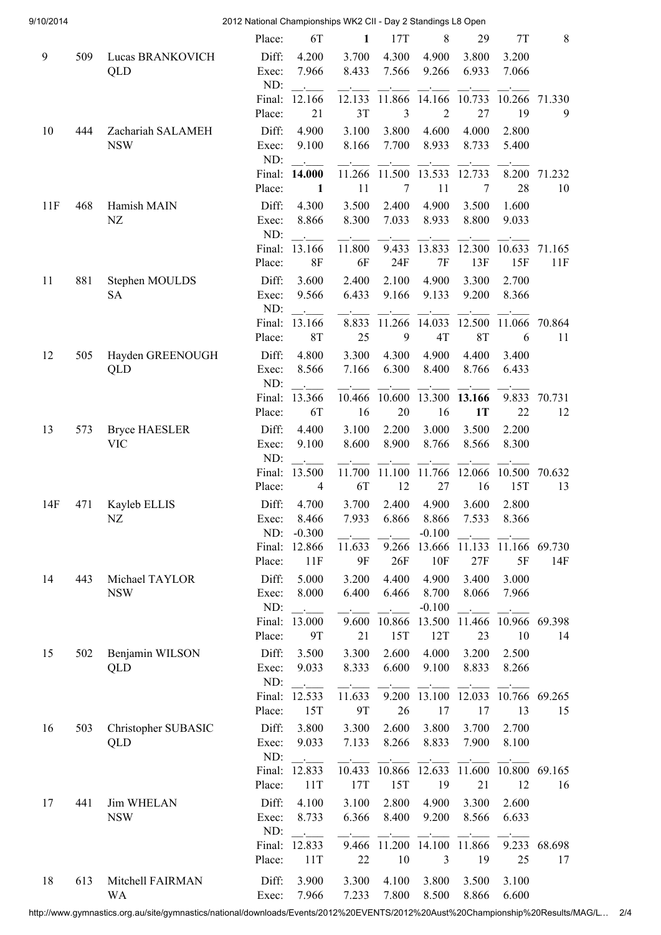| 9/10/2014 |     |                      | 2012 National Championships WK2 CII - Day 2 Standings L8 Open |                |              |              |                          |               |              |              |
|-----------|-----|----------------------|---------------------------------------------------------------|----------------|--------------|--------------|--------------------------|---------------|--------------|--------------|
|           |     |                      | Place:                                                        | 6T             | $\mathbf{1}$ | 17T          | 8                        | 29            | 7T           | 8            |
| 9         | 509 | Lucas BRANKOVICH     | Diff:                                                         | 4.200          | 3.700        | 4.300        | 4.900                    | 3.800         | 3.200        |              |
|           |     | QLD                  | Exec:                                                         | 7.966          | 8.433        | 7.566        | 9.266                    | 6.933         | 7.066        |              |
|           |     |                      | ND:                                                           |                |              |              |                          |               |              |              |
|           |     |                      | Final:                                                        | 12.166         | 12.133       | 11.866       | 14.166                   | 10.733        | 10.266       | 71.330       |
|           |     |                      | Place:                                                        | 21             | 3T           | 3            | $\overline{2}$           | 27            | 19           | 9            |
| 10        | 444 | Zachariah SALAMEH    | Diff:                                                         | 4.900          | 3.100        | 3.800        | 4.600                    | 4.000         | 2.800        |              |
|           |     | <b>NSW</b>           | Exec:                                                         | 9.100          | 8.166        | 7.700        | 8.933                    | 8.733         | 5.400        |              |
|           |     |                      | ND:                                                           |                |              |              |                          |               |              |              |
|           |     |                      | Final:                                                        | 14.000         | 11.266       | 11.500       | 13.533                   | 12.733        | 8.200        | 71.232       |
|           |     |                      | Place:                                                        | 1              | 11           | $\tau$       | 11                       | 7             | 28           | 10           |
| 11F       | 468 | Hamish MAIN          | Diff:                                                         | 4.300          | 3.500        | 2.400        | 4.900                    | 3.500         | 1.600        |              |
|           |     | NZ                   | Exec:                                                         | 8.866          | 8.300        | 7.033        | 8.933                    | 8.800         | 9.033        |              |
|           |     |                      | ND:                                                           |                |              |              |                          |               |              |              |
|           |     |                      | Final:                                                        | 13.166         | 11.800       | 9.433        | 13.833                   | 12.300        | 10.633       | 71.165       |
|           |     |                      | Place:                                                        | <b>8F</b>      | 6F           | 24F          | 7F                       | 13F           | 15F          | 11F          |
| 11        | 881 | Stephen MOULDS       | Diff:                                                         | 3.600          | 2.400        | 2.100        | 4.900                    | 3.300         | 2.700        |              |
|           |     | <b>SA</b>            | Exec:<br>ND:                                                  | 9.566          | 6.433        | 9.166        | 9.133                    | 9.200         | 8.366        |              |
|           |     |                      | Final:                                                        | 13.166         | 8.833        | 11.266       | 14.033                   | 12.500        | 11.066       | 70.864       |
|           |     |                      | Place:                                                        | <b>8T</b>      | 25           | 9            | 4T                       | 8T            | 6            | 11           |
| 12        | 505 | Hayden GREENOUGH     | Diff:                                                         | 4.800          | 3.300        | 4.300        | 4.900                    | 4.400         | 3.400        |              |
|           |     | QLD                  | Exec:                                                         | 8.566          | 7.166        | 6.300        | 8.400                    | 8.766         | 6.433        |              |
|           |     |                      | ND:                                                           |                |              |              |                          |               |              |              |
|           |     |                      | Final:                                                        | 13.366         | 10.466       | 10.600       | 13.300                   | 13.166        | 9.833        | 70.731       |
|           |     |                      | Place:                                                        | 6T             | 16           | 20           | 16                       | 1T            | 22           | 12           |
| 13        | 573 | <b>Bryce HAESLER</b> | Diff:                                                         | 4.400          | 3.100        | 2.200        | 3.000                    | 3.500         | 2.200        |              |
|           |     | <b>VIC</b>           | Exec:                                                         | 9.100          | 8.600        | 8.900        | 8.766                    | 8.566         | 8.300        |              |
|           |     |                      | ND:                                                           |                |              |              |                          |               |              |              |
|           |     |                      | Final:                                                        | 13.500         | 11.700       | 11.100       | 11.766                   | 12.066        | 10.500       | 70.632       |
|           |     |                      | Place:                                                        | $\overline{4}$ | 6T           | 12           | 27                       | 16            | 15T          | 13           |
| 14F       | 471 | Kayleb ELLIS         | Diff:                                                         | 4.700          | 3.700        | 2.400        | 4.900                    | 3.600         | 2.800        |              |
|           |     | NZ                   | Exec:                                                         | 8.466          | 7.933        | 6.866        | 8.866                    | 7.533         | 8.366        |              |
|           |     |                      | ND:                                                           | $-0.300$       |              |              | $-0.100$                 |               |              |              |
|           |     |                      | Final:                                                        | 12.866         | 11.633       | 9.266<br>26F | 13.666                   | 11.133<br>27F | 11.166<br>5F | 69.730       |
|           |     |                      | Place:                                                        | 11F            | 9F           |              | 10F                      |               |              | 14F          |
| 14        | 443 | Michael TAYLOR       | Diff:                                                         | 5.000          | 3.200        | 4.400        | 4.900                    | 3.400         | 3.000        |              |
|           |     | <b>NSW</b>           | Exec:<br>ND:                                                  | 8.000          | 6.400        | 6.466        | 8.700<br>$-0.100$        | 8.066         | 7.966        |              |
|           |     |                      | Final:                                                        | 13.000         | 9.600        | 10.866       | 13.500                   | 11.466        | 10.966       | 69.398       |
|           |     |                      | Place:                                                        | 9T             | 21           | 15T          | 12T                      | 23            | 10           | 14           |
| 15        | 502 | Benjamin WILSON      | Diff:                                                         | 3.500          | 3.300        | 2.600        | 4.000                    | 3.200         | 2.500        |              |
|           |     | QLD                  | Exec:                                                         | 9.033          | 8.333        | 6.600        | 9.100                    | 8.833         | 8.266        |              |
|           |     |                      | ND:                                                           |                |              |              |                          |               |              |              |
|           |     |                      | Final:                                                        | 12.533         | 11.633       | 9.200        | 13.100                   | 12.033        | 10.766       | 69.265       |
|           |     |                      | Place:                                                        | 15T            | 9T           | 26           | 17                       | 17            | 13           | 15           |
| 16        | 503 | Christopher SUBASIC  | Diff:                                                         | 3.800          | 3.300        | 2.600        | 3.800                    | 3.700         | 2.700        |              |
|           |     | QLD                  | Exec:                                                         | 9.033          | 7.133        | 8.266        | 8.833                    | 7.900         | 8.100        |              |
|           |     |                      | ND:                                                           |                |              |              |                          |               |              |              |
|           |     |                      | Final:                                                        | 12.833         | 10.433       | 10.866       | 12.633                   | 11.600        | 10.800       | 69.165       |
|           |     |                      | Place:                                                        | 11T            | 17T          | 15T          | 19                       | 21            | 12           | 16           |
| 17        | 441 | <b>Jim WHELAN</b>    | Diff:                                                         | 4.100          | 3.100        | 2.800        | 4.900                    | 3.300         | 2.600        |              |
|           |     | <b>NSW</b>           | Exec:                                                         | 8.733          | 6.366        | 8.400        | 9.200                    | 8.566         | 6.633        |              |
|           |     |                      | ND:                                                           |                |              |              |                          |               |              |              |
|           |     |                      | Final:<br>Place:                                              | 12.833<br>11T  | 9.466<br>22  | 11.200<br>10 | 14.100<br>$\mathfrak{Z}$ | 11.866<br>19  | 9.233<br>25  | 68.698<br>17 |
|           |     |                      |                                                               |                |              |              |                          |               |              |              |
| 18        | 613 | Mitchell FAIRMAN     | Diff:                                                         | 3.900          | 3.300        | 4.100        | 3.800                    | 3.500         | 3.100        |              |
|           |     | WA                   | Exec:                                                         | 7.966          | 7.233        | 7.800        | 8.500                    | 8.866         | 6.600        |              |

http://www.gymnastics.org.au/site/gymnastics/national/downloads/Events/2012%20EVENTS/2012%20Aust%20Championship%20Results/MAG/L… 2/4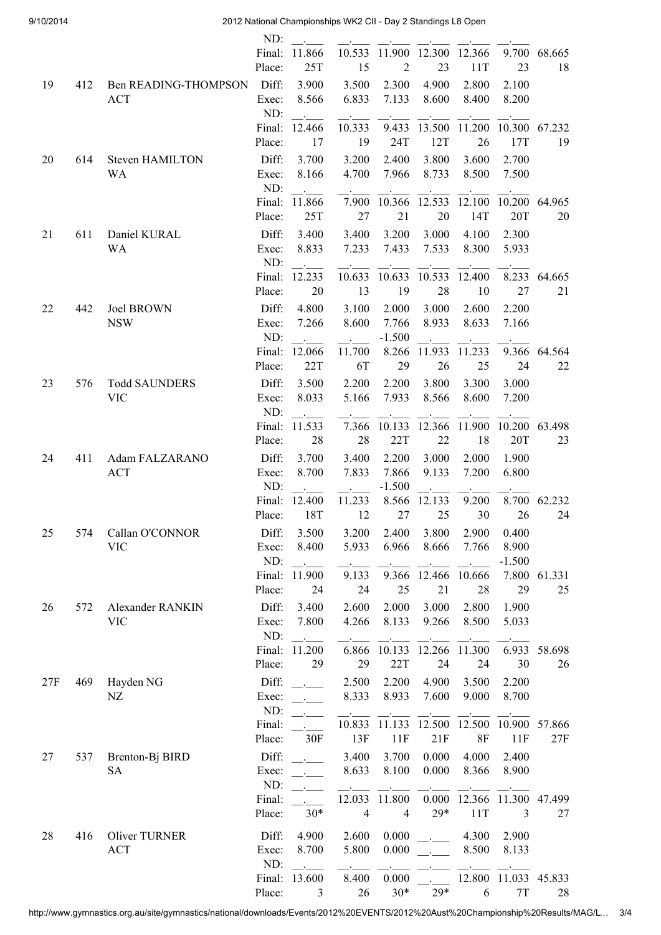9/10/2014 2012 National Championships WK2 CII - Day 2 Standings L8 Open

|     |     |                                    | ND:              |                      |                |                          |                                        |                |                |              |
|-----|-----|------------------------------------|------------------|----------------------|----------------|--------------------------|----------------------------------------|----------------|----------------|--------------|
|     |     |                                    | Final:<br>Place: | 11.866<br>25T        | 10.533<br>15   | 11.900<br>$\overline{2}$ | 12.300<br>23                           | 12.366<br>11T  | 9.700<br>23    | 68.665<br>18 |
| 19  | 412 | <b>Ben READING-THOMPSON</b>        | Diff:            | 3.900                | 3.500          | 2.300                    | 4.900                                  | 2.800          | 2.100          |              |
|     |     | <b>ACT</b>                         | Exec:<br>ND:     | 8.566                | 6.833          | 7.133                    | 8.600                                  | 8.400          | 8.200          |              |
|     |     |                                    | Final:           | 12.466               | 10.333         | 9.433                    | 13.500                                 | 11.200         | 10.300         | 67.232       |
|     |     |                                    | Place:           | 17                   | 19             | 24T                      | 12T                                    | 26             | 17T            | 19           |
| 20  | 614 | <b>Steven HAMILTON</b>             | Diff:            | 3.700                | 3.200          | 2.400                    | 3.800                                  | 3.600          | 2.700          |              |
|     |     | <b>WA</b>                          | Exec:<br>ND:     | 8.166                | 4.700          | 7.966                    | 8.733                                  | 8.500          | 7.500          |              |
|     |     |                                    | Final:           | 11.866               | 7.900          | 10.366                   | 12.533                                 | 12.100         | 10.200         | 64.965       |
|     |     |                                    | Place:           | 25T                  | 27             | 21                       | 20                                     | 14T            | 20T            | 20           |
| 21  | 611 | Daniel KURAL                       | Diff:            | 3.400                | 3.400          | 3.200                    | 3.000                                  | 4.100          | 2.300          |              |
|     |     | <b>WA</b>                          | Exec:            | 8.833                | 7.233          | 7.433                    | 7.533                                  | 8.300          | 5.933          |              |
|     |     |                                    | ND:<br>Final:    | 12.233               | 10.633         | 10.633                   | 10.533                                 | 12.400         |                | 8.233 64.665 |
|     |     |                                    | Place:           | 20                   | 13             | 19                       | 28                                     | 10             | 27             | 21           |
| 22  | 442 | <b>Joel BROWN</b>                  | Diff:            | 4.800                | 3.100          | 2.000                    | 3.000                                  | 2.600          | 2.200          |              |
|     |     | <b>NSW</b>                         | Exec:            | 7.266                | 8.600          | 7.766                    | 8.933                                  | 8.633          | 7.166          |              |
|     |     |                                    | ND:              |                      |                | $-1.500$                 |                                        |                |                |              |
|     |     |                                    | Final:           | 12.066               | 11.700         | 8.266                    | 11.933                                 | 11.233         | 9.366          | 64.564       |
|     |     |                                    | Place:           | 22T                  | 6T             | 29                       | 26                                     | 25             | 24             | 22           |
| 23  | 576 | <b>Todd SAUNDERS</b>               | Diff:            | 3.500                | 2.200          | 2.200                    | 3.800                                  | 3.300          | 3.000          |              |
|     |     | <b>VIC</b>                         | Exec:            | 8.033                | 5.166          | 7.933                    | 8.566                                  | 8.600          | 7.200          |              |
|     |     |                                    | ND:              |                      |                |                          |                                        |                |                |              |
|     |     |                                    | Final:           | 11.533               | 7.366          | 10.133                   | 12.366                                 | 11.900         | 10.200         | 63.498       |
|     |     |                                    | Place:           | 28                   | 28             | 22T                      | 22                                     | 18             | 20T            | 23           |
| 24  | 411 | Adam FALZARANO                     | Diff:            | 3.700                | 3.400          | 2.200                    | 3.000                                  | 2.000          | 1.900          |              |
|     |     | ACT                                | Exec:            | 8.700                | 7.833          | 7.866                    | 9.133                                  | 7.200          | 6.800          |              |
|     |     |                                    | ND:              |                      |                | $-1.500$                 |                                        |                |                |              |
|     |     |                                    | Final:<br>Place: | 12.400<br>18T        | 11.233<br>12   | 8.566<br>27              | 12.133<br>25                           | 9.200<br>30    | 8.700<br>26    | 62.232<br>24 |
|     |     |                                    |                  |                      |                |                          |                                        |                |                |              |
| 25  | 574 | Callan O'CONNOR<br><b>VIC</b>      | Exec:            | Diff: 3.500<br>8.400 | 5.933          | 6.966                    | 3.200 2.400 3.800 2.900 0.400<br>8.666 | 7.766          | 8.900          |              |
|     |     |                                    | ND:              |                      |                |                          |                                        |                | $-1.500$       |              |
|     |     |                                    | Final:           | 11.900               | 9.133          | 9.366                    | 12.466                                 | 10.666         | 7.800          | 61.331       |
|     |     |                                    | Place:           | 24                   | 24             | 25                       | 21                                     | 28             | 29             | 25           |
| 26  | 572 | Alexander RANKIN                   | Diff:            | 3.400                | 2.600          | 2.000                    | 3.000                                  | 2.800          | 1.900          |              |
|     |     | <b>VIC</b>                         | Exec:            | 7.800                | 4.266          | 8.133                    | 9.266                                  | 8.500          | 5.033          |              |
|     |     |                                    | ND:              |                      |                |                          |                                        |                |                |              |
|     |     |                                    | Final:           | 11.200               | 6.866          | 10.133                   | 12.266                                 | 11.300         | 6.933          | 58.698       |
|     |     |                                    | Place:           | 29                   | 29             | 22T                      | 24                                     | 24             | 30             | 26           |
| 27F | 469 | Hayden NG                          | Diff:            |                      | 2.500          | 2.200                    | 4.900                                  | 3.500          | 2.200          |              |
|     |     | $\rm{NZ}$                          | Exec:            |                      | 8.333          | 8.933                    | 7.600                                  | 9.000          | 8.700          |              |
|     |     |                                    | ND:              |                      |                |                          |                                        |                |                |              |
|     |     |                                    | Final:           | 30F                  | 10.833<br>13F  | 11.133<br>11F            | 12.500<br>21F                          | 12.500<br>8F   | 10.900         | 57.866       |
|     |     |                                    | Place:           |                      |                |                          |                                        |                | 11F            | 27F          |
| 27  | 537 | Brenton-Bj BIRD                    | Diff:            |                      | 3.400          | 3.700                    | 0.000                                  | 4.000          | 2.400          |              |
|     |     | <b>SA</b>                          | Exec:<br>ND:     |                      | 8.633          | 8.100                    | 0.000                                  | 8.366          | 8.900          |              |
|     |     |                                    | Final:           |                      | 12.033         | 11.800                   | 0.000                                  | 12.366         | 11.300         | 47.499       |
|     |     |                                    | Place:           | $30*$                | $\overline{4}$ | $\overline{4}$           | $29*$                                  | 11T            | 3              | 27           |
|     |     |                                    |                  |                      |                |                          |                                        |                |                |              |
| 28  | 416 | <b>Oliver TURNER</b><br><b>ACT</b> | Diff:<br>Exec:   | 4.900<br>8.700       | 2.600<br>5.800 | 0.000<br>0.000           |                                        | 4.300<br>8.500 | 2.900<br>8.133 |              |
|     |     |                                    | ND:              |                      |                |                          |                                        |                |                |              |
|     |     |                                    | Final:           | 13.600               | 8.400          | 0.000                    |                                        | 12.800         | 11.033         | 45.833       |
|     |     |                                    | Place:           | 3                    | 26             | $30*$                    | $29*$                                  | 6              | 7T             | 28           |